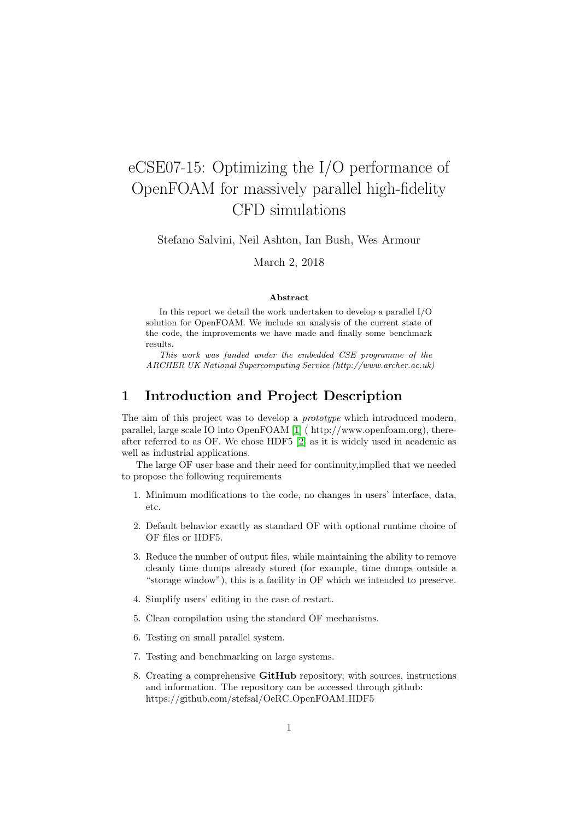# eCSE07-15: Optimizing the I/O performance of OpenFOAM for massively parallel high-fidelity CFD simulations

Stefano Salvini, Neil Ashton, Ian Bush, Wes Armour

March 2, 2018

#### Abstract

In this report we detail the work undertaken to develop a parallel I/O solution for OpenFOAM. We include an analysis of the current state of the code, the improvements we have made and finally some benchmark results.

This work was funded under the embedded CSE programme of the ARCHER UK National Supercomputing Service (http://www.archer.ac.uk)

# 1 Introduction and Project Description

The aim of this project was to develop a *prototype* which introduced modern, parallel, large scale IO into OpenFOAM [\[1\]](#page-6-0) ( http://www.openfoam.org), thereafter referred to as OF. We chose HDF5 [\[2\]](#page-6-1) as it is widely used in academic as well as industrial applications.

The large OF user base and their need for continuity,implied that we needed to propose the following requirements

- 1. Minimum modifications to the code, no changes in users' interface, data, etc.
- 2. Default behavior exactly as standard OF with optional runtime choice of OF files or HDF5.
- 3. Reduce the number of output files, while maintaining the ability to remove cleanly time dumps already stored (for example, time dumps outside a "storage window"), this is a facility in OF which we intended to preserve.
- 4. Simplify users' editing in the case of restart.
- 5. Clean compilation using the standard OF mechanisms.
- 6. Testing on small parallel system.
- 7. Testing and benchmarking on large systems.
- 8. Creating a comprehensive GitHub repository, with sources, instructions and information. The repository can be accessed through github: https://github.com/stefsal/OeRC OpenFOAM HDF5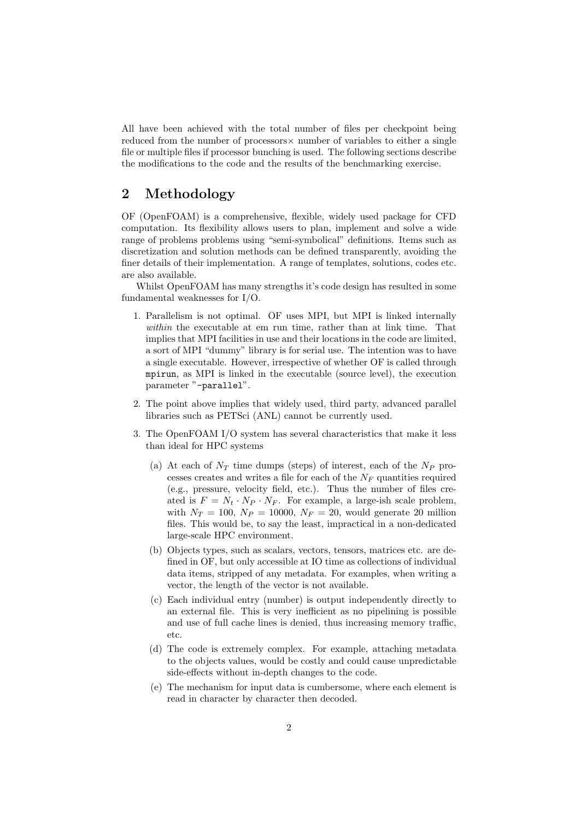All have been achieved with the total number of files per checkpoint being reduced from the number of processors× number of variables to either a single file or multiple files if processor bunching is used. The following sections describe the modifications to the code and the results of the benchmarking exercise.

## 2 Methodology

OF (OpenFOAM) is a comprehensive, flexible, widely used package for CFD computation. Its flexibility allows users to plan, implement and solve a wide range of problems problems using "semi-symbolical" definitions. Items such as discretization and solution methods can be defined transparently, avoiding the finer details of their implementation. A range of templates, solutions, codes etc. are also available.

Whilst OpenFOAM has many strengths it's code design has resulted in some fundamental weaknesses for I/O.

- 1. Parallelism is not optimal. OF uses MPI, but MPI is linked internally within the executable at em run time, rather than at link time. That implies that MPI facilities in use and their locations in the code are limited, a sort of MPI "dummy" library is for serial use. The intention was to have a single executable. However, irrespective of whether OF is called through mpirun, as MPI is linked in the executable (source level), the execution parameter "-parallel".
- 2. The point above implies that widely used, third party, advanced parallel libraries such as PETSci (ANL) cannot be currently used.
- 3. The OpenFOAM I/O system has several characteristics that make it less than ideal for HPC systems
	- (a) At each of  $N_T$  time dumps (steps) of interest, each of the  $N_P$  processes creates and writes a file for each of the  $N_F$  quantities required (e.g., pressure, velocity field, etc.). Thus the number of files created is  $F = N_t \cdot N_P \cdot N_F$ . For example, a large-ish scale problem, with  $N_T = 100$ ,  $N_P = 10000$ ,  $N_F = 20$ , would generate 20 million files. This would be, to say the least, impractical in a non-dedicated large-scale HPC environment.
	- (b) Objects types, such as scalars, vectors, tensors, matrices etc. are defined in OF, but only accessible at IO time as collections of individual data items, stripped of any metadata. For examples, when writing a vector, the length of the vector is not available.
	- (c) Each individual entry (number) is output independently directly to an external file. This is very inefficient as no pipelining is possible and use of full cache lines is denied, thus increasing memory traffic, etc.
	- (d) The code is extremely complex. For example, attaching metadata to the objects values, would be costly and could cause unpredictable side-effects without in-depth changes to the code.
	- (e) The mechanism for input data is cumbersome, where each element is read in character by character then decoded.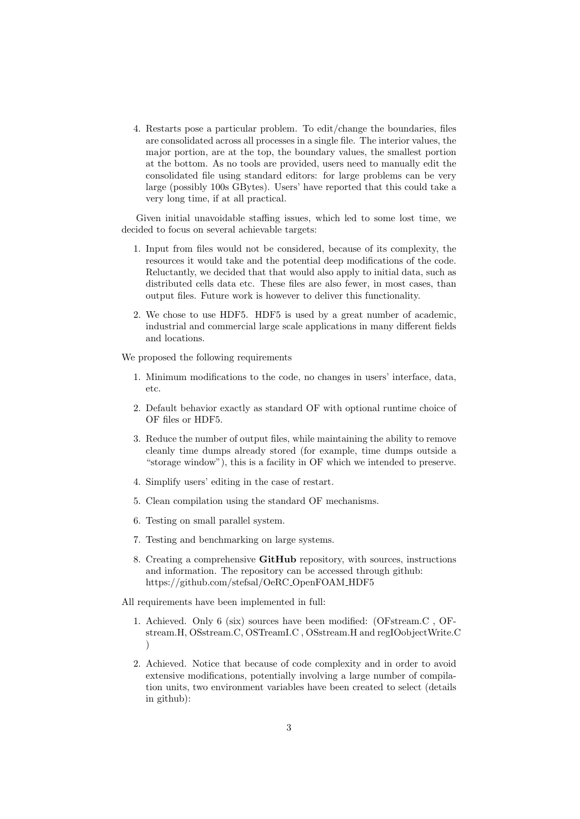4. Restarts pose a particular problem. To edit/change the boundaries, files are consolidated across all processes in a single file. The interior values, the major portion, are at the top, the boundary values, the smallest portion at the bottom. As no tools are provided, users need to manually edit the consolidated file using standard editors: for large problems can be very large (possibly 100s GBytes). Users' have reported that this could take a very long time, if at all practical.

Given initial unavoidable staffing issues, which led to some lost time, we decided to focus on several achievable targets:

- 1. Input from files would not be considered, because of its complexity, the resources it would take and the potential deep modifications of the code. Reluctantly, we decided that that would also apply to initial data, such as distributed cells data etc. These files are also fewer, in most cases, than output files. Future work is however to deliver this functionality.
- 2. We chose to use HDF5. HDF5 is used by a great number of academic, industrial and commercial large scale applications in many different fields and locations.

We proposed the following requirements

- 1. Minimum modifications to the code, no changes in users' interface, data, etc.
- 2. Default behavior exactly as standard OF with optional runtime choice of OF files or HDF5.
- 3. Reduce the number of output files, while maintaining the ability to remove cleanly time dumps already stored (for example, time dumps outside a "storage window"), this is a facility in OF which we intended to preserve.
- 4. Simplify users' editing in the case of restart.
- 5. Clean compilation using the standard OF mechanisms.
- 6. Testing on small parallel system.
- 7. Testing and benchmarking on large systems.
- 8. Creating a comprehensive GitHub repository, with sources, instructions and information. The repository can be accessed through github: https://github.com/stefsal/OeRC OpenFOAM HDF5

All requirements have been implemented in full:

- 1. Achieved. Only 6 (six) sources have been modified: (OFstream.C , OFstream.H, OSstream.C, OSTreamI.C , OSstream.H and regIOobjectWrite.C )
- 2. Achieved. Notice that because of code complexity and in order to avoid extensive modifications, potentially involving a large number of compilation units, two environment variables have been created to select (details in github):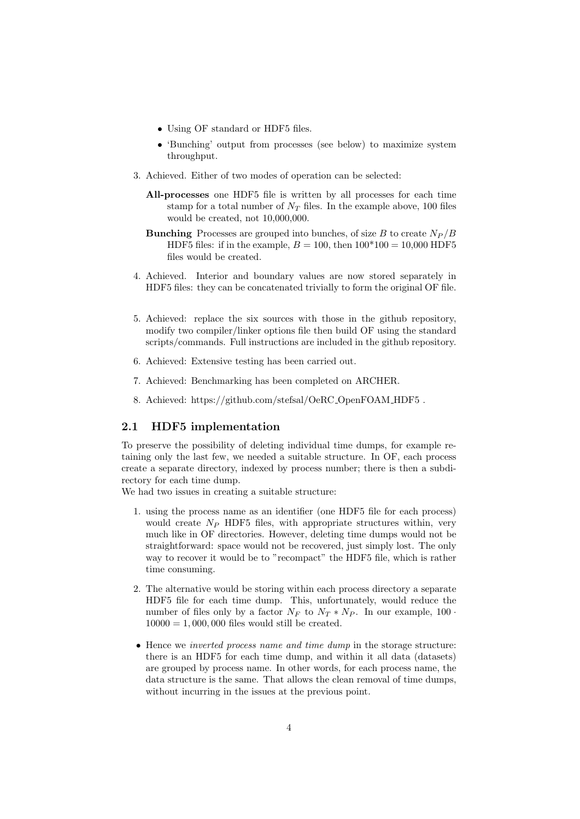- Using OF standard or HDF5 files.
- 'Bunching' output from processes (see below) to maximize system throughput.
- 3. Achieved. Either of two modes of operation can be selected:
	- All-processes one HDF5 file is written by all processes for each time stamp for a total number of  $N_T$  files. In the example above, 100 files would be created, not 10,000,000.
	- **Bunching** Processes are grouped into bunches, of size B to create  $N_P/B$ HDF5 files: if in the example,  $B = 100$ , then  $100*100 = 10,000$  HDF5 files would be created.
- 4. Achieved. Interior and boundary values are now stored separately in HDF5 files: they can be concatenated trivially to form the original OF file.
- 5. Achieved: replace the six sources with those in the github repository, modify two compiler/linker options file then build OF using the standard scripts/commands. Full instructions are included in the github repository.
- 6. Achieved: Extensive testing has been carried out.
- 7. Achieved: Benchmarking has been completed on ARCHER.
- 8. Achieved: https://github.com/stefsal/OeRC OpenFOAM HDF5 .

#### 2.1 HDF5 implementation

To preserve the possibility of deleting individual time dumps, for example retaining only the last few, we needed a suitable structure. In OF, each process create a separate directory, indexed by process number; there is then a subdirectory for each time dump.

We had two issues in creating a suitable structure:

- 1. using the process name as an identifier (one HDF5 file for each process) would create  $N_P$  HDF5 files, with appropriate structures within, very much like in OF directories. However, deleting time dumps would not be straightforward: space would not be recovered, just simply lost. The only way to recover it would be to "recompact" the HDF5 file, which is rather time consuming.
- 2. The alternative would be storing within each process directory a separate HDF5 file for each time dump. This, unfortunately, would reduce the number of files only by a factor  $N_F$  to  $N_T * N_P$ . In our example, 100 ·  $10000 = 1,000,000$  files would still be created.
- Hence we inverted process name and time dump in the storage structure: there is an HDF5 for each time dump, and within it all data (datasets) are grouped by process name. In other words, for each process name, the data structure is the same. That allows the clean removal of time dumps, without incurring in the issues at the previous point.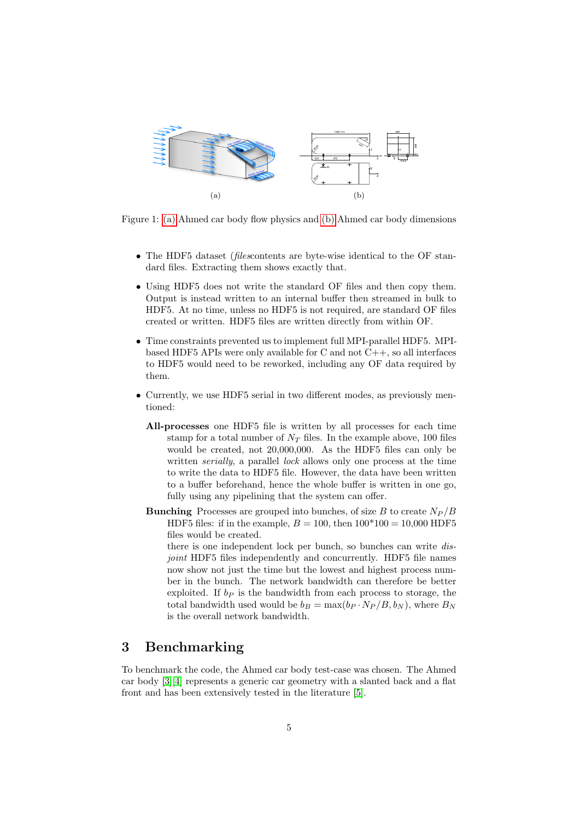<span id="page-4-1"></span><span id="page-4-0"></span>

Figure 1: [\(a\)](#page-4-0) Ahmed car body flow physics and [\(b\)](#page-4-1) Ahmed car body dimensions different turbulence modeling approaches. See example,  $\mathcal{L}$  $\mathbf{v}$  several concepts of hybridization between LES and RANS and RANS and RANS and RANS and RANS and RANS and RANS and RANS and RANS and RANS and RANS and RANS and RANS and RANS and RANS and RANS and RANS and RANS and

- The HDF5 dataset (*filescontents* are byte-wise identical to the OF standard files. Extracting them shows exactly that. mean streamlines and enhance the three-dimensionality as well as  $\mathcal{O}$
- Using HDF5 does not write the standard OF files and then copy them. Output is instead written to an internal buffer then streamed in bulk to HDF5. At no time, unless no HDF5 is not required, are standard OF files created or written. HDF5 files are written directly from within OF.
- $\bullet$  Time constraints prevented us to implement full MPI-parallel HDF5. MPIbased HDF5 APIs were only available for C and not  $C_{++}$ , so all interfaces to HDF5 would need to be reworked, including any OF data required by them.
- Currently, we use HDF5 serial in two different modes, as previously mentioned:
	- All-processes one HDF5 file is written by all processes for each time stamp for a total number of  $N_T$  files. In the example above, 100 files would be created, not 20,000,000. As the HDF5 files can only be written *serially*, a parallel *lock* allows only one process at the time to write the data to HDF5 file. However, the data have been written to a buffer beforehand, hence the whole buffer is written in one go, fully using any pipelining that the system can offer.
	- **Bunching** Processes are grouped into bunches, of size B to create  $N_P/B$ HDF5 files: if in the example,  $B = 100$ , then  $100*100 = 10,000$  HDF5 files would be created.

there is one independent lock per bunch, so bunches can write disjoint HDF5 files independently and concurrently. HDF5 file names now show not just the time but the lowest and highest process number in the bunch. The network bandwidth can therefore be better exploited. If  $b<sub>P</sub>$  is the bandwidth from each process to storage, the total bandwidth used would be  $b_B = \max(b_P \cdot N_P / B, b_N)$ , where  $B_N$ is the overall network bandwidth.

### 3 Benchmarking

To benchmark the code, the Ahmed car body test-case was chosen. The Ahmed car body [\[3\]](#page-6-2)[\[4\]](#page-6-3) represents a generic car geometry with a slanted back and a flat front and has been extensively tested in the literature [\[5\]](#page-6-4).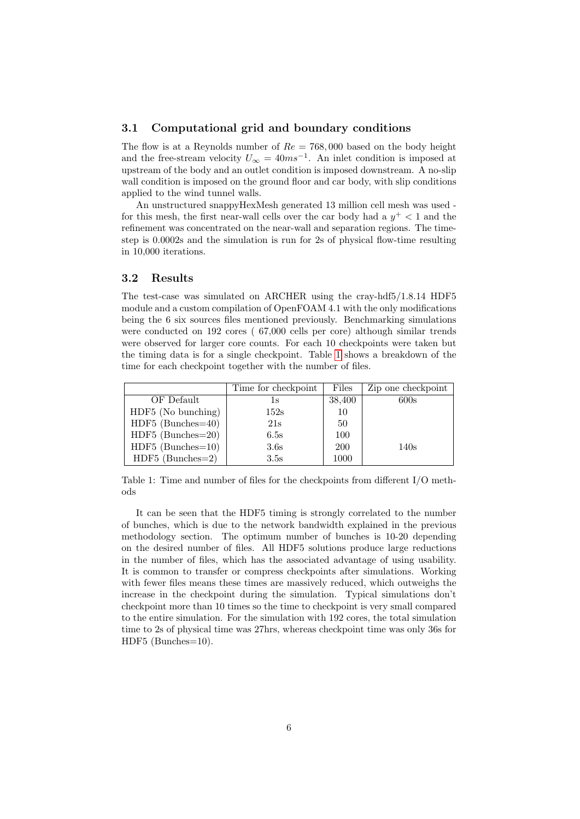#### 3.1 Computational grid and boundary conditions

The flow is at a Reynolds number of  $Re = 768,000$  based on the body height and the free-stream velocity  $U_{\infty} = 40ms^{-1}$ . An inlet condition is imposed at upstream of the body and an outlet condition is imposed downstream. A no-slip wall condition is imposed on the ground floor and car body, with slip conditions applied to the wind tunnel walls.

An unstructured snappyHexMesh generated 13 million cell mesh was used for this mesh, the first near-wall cells over the car body had a  $y^+$  < 1 and the refinement was concentrated on the near-wall and separation regions. The timestep is 0.0002s and the simulation is run for 2s of physical flow-time resulting in 10,000 iterations.

#### 3.2 Results

The test-case was simulated on ARCHER using the cray-hdf5/1.8.14 HDF5 module and a custom compilation of OpenFOAM 4.1 with the only modifications being the 6 six sources files mentioned previously. Benchmarking simulations were conducted on 192 cores ( 67,000 cells per core) although similar trends were observed for larger core counts. For each 10 checkpoints were taken but the timing data is for a single checkpoint. Table [1](#page-5-0) shows a breakdown of the time for each checkpoint together with the number of files.

|                     | Time for checkpoint | Files      | Zip one checkpoint |
|---------------------|---------------------|------------|--------------------|
| OF Default          | İS                  | 38,400     | 600s               |
| HDF5 (No bunching)  | 152s                | 10         |                    |
| $HDF5$ (Bunches=40) | 21s                 | 50         |                    |
| $HDF5$ (Bunches=20) | 6.5s                | 100        |                    |
| $HDF5$ (Bunches=10) | 3.6s                | <b>200</b> | 140s               |
| $HDF5$ (Bunches=2)  | 3.5s                | 1000       |                    |

<span id="page-5-0"></span>Table 1: Time and number of files for the checkpoints from different I/O methods

It can be seen that the HDF5 timing is strongly correlated to the number of bunches, which is due to the network bandwidth explained in the previous methodology section. The optimum number of bunches is 10-20 depending on the desired number of files. All HDF5 solutions produce large reductions in the number of files, which has the associated advantage of using usability. It is common to transfer or compress checkpoints after simulations. Working with fewer files means these times are massively reduced, which outweighs the increase in the checkpoint during the simulation. Typical simulations don't checkpoint more than 10 times so the time to checkpoint is very small compared to the entire simulation. For the simulation with 192 cores, the total simulation time to 2s of physical time was 27hrs, whereas checkpoint time was only 36s for HDF5 (Bunches=10).